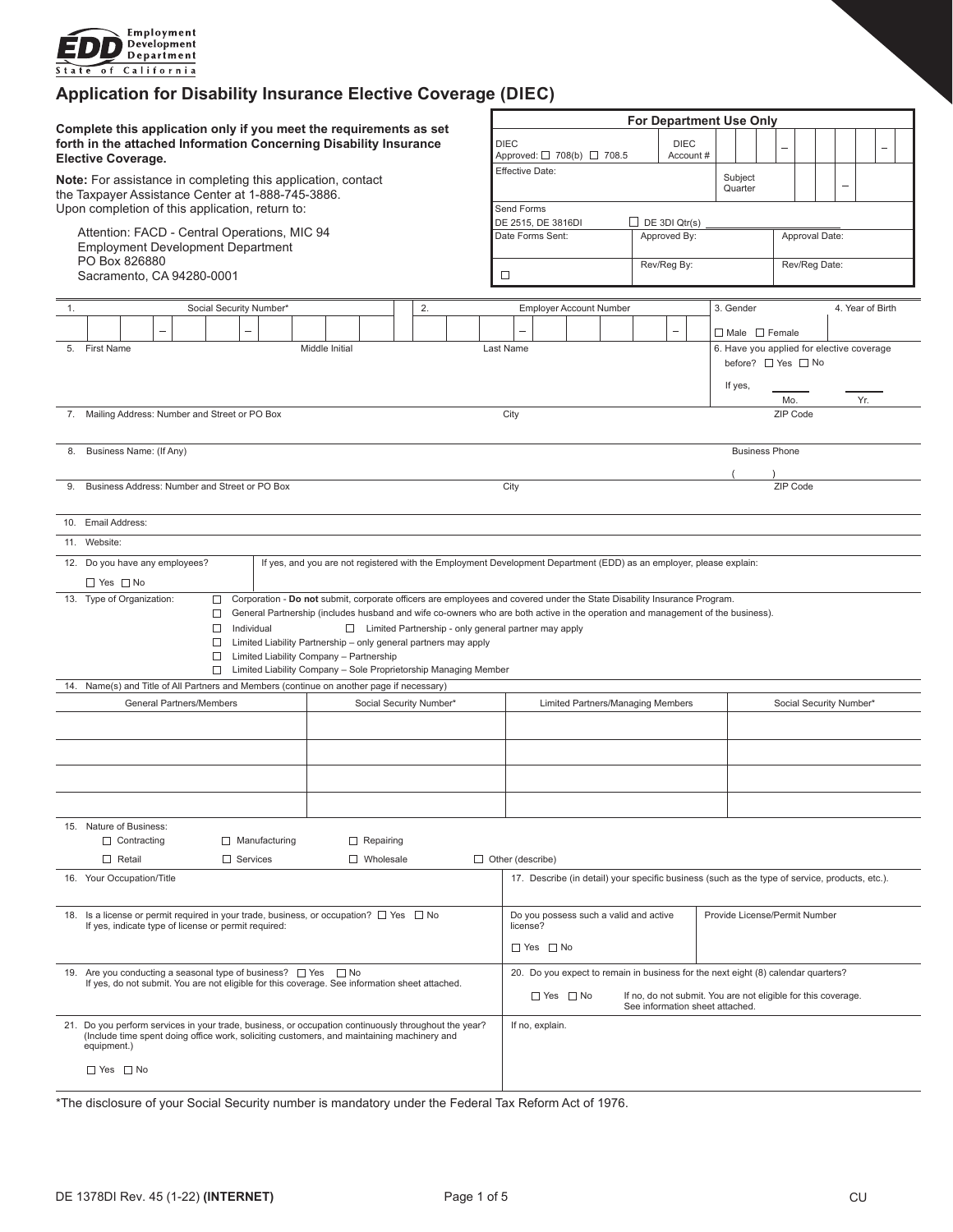

# **Application for Disability Insurance Elective Coverage (DIEC)**

|                                                                                                                                                                      |                                                                                                                                                                                                                                                                                                                                                                                                                                                                                                                                                                                        |                      |  |  |  |          |  |  | <b>For Department Use Only</b> |                                                                                                                                                                            |                                                                                     |                                       |                                                                                |                                |  |                      |                         |                       |                                                                 |                       |                               |  |  |  |  |  |  |  |  |
|----------------------------------------------------------------------------------------------------------------------------------------------------------------------|----------------------------------------------------------------------------------------------------------------------------------------------------------------------------------------------------------------------------------------------------------------------------------------------------------------------------------------------------------------------------------------------------------------------------------------------------------------------------------------------------------------------------------------------------------------------------------------|----------------------|--|--|--|----------|--|--|--------------------------------|----------------------------------------------------------------------------------------------------------------------------------------------------------------------------|-------------------------------------------------------------------------------------|---------------------------------------|--------------------------------------------------------------------------------|--------------------------------|--|----------------------|-------------------------|-----------------------|-----------------------------------------------------------------|-----------------------|-------------------------------|--|--|--|--|--|--|--|--|
| Complete this application only if you meet the requirements as set<br>forth in the attached Information Concerning Disability Insurance<br><b>Elective Coverage.</b> |                                                                                                                                                                                                                                                                                                                                                                                                                                                                                                                                                                                        |                      |  |  |  |          |  |  |                                |                                                                                                                                                                            | <b>DIEC</b><br><b>DIEC</b><br>Account #<br>Approved: □ 708(b) □ 708.5               |                                       |                                                                                |                                |  |                      |                         |                       |                                                                 |                       |                               |  |  |  |  |  |  |  |  |
| Note: For assistance in completing this application, contact<br>the Taxpayer Assistance Center at 1-888-745-3886.                                                    |                                                                                                                                                                                                                                                                                                                                                                                                                                                                                                                                                                                        |                      |  |  |  |          |  |  |                                |                                                                                                                                                                            |                                                                                     | Effective Date:<br>Subject<br>Quarter |                                                                                |                                |  |                      |                         |                       |                                                                 |                       |                               |  |  |  |  |  |  |  |  |
|                                                                                                                                                                      | Upon completion of this application, return to:                                                                                                                                                                                                                                                                                                                                                                                                                                                                                                                                        |                      |  |  |  |          |  |  |                                |                                                                                                                                                                            |                                                                                     | Send Forms                            |                                                                                |                                |  |                      |                         |                       |                                                                 |                       |                               |  |  |  |  |  |  |  |  |
|                                                                                                                                                                      | Attention: FACD - Central Operations, MIC 94<br><b>Employment Development Department</b><br>PO Box 826880<br>Sacramento, CA 94280-0001                                                                                                                                                                                                                                                                                                                                                                                                                                                 |                      |  |  |  |          |  |  |                                |                                                                                                                                                                            |                                                                                     |                                       | $\Box$ DE 3DI Qtr(s)<br>DE 2515, DE 3816DI<br>Approved By:<br>Date Forms Sent: |                                |  |                      |                         |                       | Approval Date:                                                  |                       |                               |  |  |  |  |  |  |  |  |
|                                                                                                                                                                      |                                                                                                                                                                                                                                                                                                                                                                                                                                                                                                                                                                                        |                      |  |  |  |          |  |  |                                |                                                                                                                                                                            |                                                                                     |                                       | Rev/Reg By:<br>□                                                               |                                |  |                      |                         |                       |                                                                 | Rev/Reg Date:         |                               |  |  |  |  |  |  |  |  |
|                                                                                                                                                                      | Social Security Number*<br>2.<br>1.                                                                                                                                                                                                                                                                                                                                                                                                                                                                                                                                                    |                      |  |  |  |          |  |  |                                |                                                                                                                                                                            |                                                                                     |                                       |                                                                                | <b>Employer Account Number</b> |  |                      |                         |                       |                                                                 |                       | 3. Gender<br>4. Year of Birth |  |  |  |  |  |  |  |  |
|                                                                                                                                                                      |                                                                                                                                                                                                                                                                                                                                                                                                                                                                                                                                                                                        |                      |  |  |  |          |  |  |                                |                                                                                                                                                                            |                                                                                     |                                       |                                                                                |                                |  |                      |                         |                       |                                                                 |                       |                               |  |  |  |  |  |  |  |  |
|                                                                                                                                                                      |                                                                                                                                                                                                                                                                                                                                                                                                                                                                                                                                                                                        |                      |  |  |  |          |  |  |                                |                                                                                                                                                                            | $\Box$ Male $\Box$ Female                                                           |                                       |                                                                                |                                |  |                      |                         |                       |                                                                 |                       |                               |  |  |  |  |  |  |  |  |
|                                                                                                                                                                      | 5. First Name<br>Middle Initial                                                                                                                                                                                                                                                                                                                                                                                                                                                                                                                                                        |                      |  |  |  |          |  |  |                                |                                                                                                                                                                            |                                                                                     | Last Name                             |                                                                                |                                |  |                      |                         |                       | 6. Have you applied for elective coverage<br>before? □ Yes □ No |                       |                               |  |  |  |  |  |  |  |  |
|                                                                                                                                                                      |                                                                                                                                                                                                                                                                                                                                                                                                                                                                                                                                                                                        |                      |  |  |  |          |  |  |                                |                                                                                                                                                                            |                                                                                     |                                       |                                                                                |                                |  |                      |                         |                       |                                                                 | If yes,<br>Yr.<br>Mo. |                               |  |  |  |  |  |  |  |  |
|                                                                                                                                                                      | 7. Mailing Address: Number and Street or PO Box                                                                                                                                                                                                                                                                                                                                                                                                                                                                                                                                        |                      |  |  |  |          |  |  |                                |                                                                                                                                                                            |                                                                                     | City                                  |                                                                                |                                |  |                      |                         |                       | ZIP Code                                                        |                       |                               |  |  |  |  |  |  |  |  |
| 8.                                                                                                                                                                   | Business Name: (If Any)                                                                                                                                                                                                                                                                                                                                                                                                                                                                                                                                                                |                      |  |  |  |          |  |  |                                |                                                                                                                                                                            |                                                                                     |                                       |                                                                                |                                |  |                      |                         | <b>Business Phone</b> |                                                                 |                       |                               |  |  |  |  |  |  |  |  |
| 9.                                                                                                                                                                   | Business Address: Number and Street or PO Box                                                                                                                                                                                                                                                                                                                                                                                                                                                                                                                                          |                      |  |  |  |          |  |  |                                |                                                                                                                                                                            | City                                                                                |                                       |                                                                                |                                |  |                      |                         |                       |                                                                 |                       | ZIP Code                      |  |  |  |  |  |  |  |  |
|                                                                                                                                                                      |                                                                                                                                                                                                                                                                                                                                                                                                                                                                                                                                                                                        | 10. Email Address:   |  |  |  |          |  |  |                                |                                                                                                                                                                            |                                                                                     |                                       |                                                                                |                                |  |                      |                         |                       |                                                                 |                       |                               |  |  |  |  |  |  |  |  |
|                                                                                                                                                                      | 11. Website:                                                                                                                                                                                                                                                                                                                                                                                                                                                                                                                                                                           |                      |  |  |  |          |  |  |                                |                                                                                                                                                                            |                                                                                     |                                       |                                                                                |                                |  |                      |                         |                       |                                                                 |                       |                               |  |  |  |  |  |  |  |  |
|                                                                                                                                                                      | 12. Do you have any employees?<br>If yes, and you are not registered with the Employment Development Department (EDD) as an employer, please explain:                                                                                                                                                                                                                                                                                                                                                                                                                                  |                      |  |  |  |          |  |  |                                |                                                                                                                                                                            |                                                                                     |                                       |                                                                                |                                |  |                      |                         |                       |                                                                 |                       |                               |  |  |  |  |  |  |  |  |
|                                                                                                                                                                      |                                                                                                                                                                                                                                                                                                                                                                                                                                                                                                                                                                                        | $\Box$ Yes $\Box$ No |  |  |  |          |  |  |                                |                                                                                                                                                                            |                                                                                     |                                       |                                                                                |                                |  |                      |                         |                       |                                                                 |                       |                               |  |  |  |  |  |  |  |  |
|                                                                                                                                                                      | Corporation - Do not submit, corporate officers are employees and covered under the State Disability Insurance Program.<br>13. Type of Organization:<br>□<br>General Partnership (includes husband and wife co-owners who are both active in the operation and management of the business).<br>□<br>$\Box$ Individual<br>□ Limited Partnership - only general partner may apply<br>$\Box$ Limited Liability Partnership – only general partners may apply<br>$\Box$<br>Limited Liability Company - Partnership<br>Limited Liability Company - Sole Proprietorship Managing Member<br>□ |                      |  |  |  |          |  |  |                                |                                                                                                                                                                            |                                                                                     |                                       |                                                                                |                                |  |                      |                         |                       |                                                                 |                       |                               |  |  |  |  |  |  |  |  |
|                                                                                                                                                                      |                                                                                                                                                                                                                                                                                                                                                                                                                                                                                                                                                                                        |                      |  |  |  |          |  |  |                                |                                                                                                                                                                            |                                                                                     |                                       |                                                                                |                                |  |                      |                         |                       |                                                                 |                       |                               |  |  |  |  |  |  |  |  |
| 14. Name(s) and Title of All Partners and Members (continue on another page if necessary)<br>General Partners/Members<br>Social Security Number*                     |                                                                                                                                                                                                                                                                                                                                                                                                                                                                                                                                                                                        |                      |  |  |  |          |  |  |                                | Limited Partners/Managing Members                                                                                                                                          |                                                                                     |                                       |                                                                                |                                |  |                      | Social Security Number* |                       |                                                                 |                       |                               |  |  |  |  |  |  |  |  |
|                                                                                                                                                                      |                                                                                                                                                                                                                                                                                                                                                                                                                                                                                                                                                                                        |                      |  |  |  |          |  |  |                                |                                                                                                                                                                            |                                                                                     |                                       |                                                                                |                                |  |                      |                         |                       |                                                                 |                       |                               |  |  |  |  |  |  |  |  |
|                                                                                                                                                                      |                                                                                                                                                                                                                                                                                                                                                                                                                                                                                                                                                                                        |                      |  |  |  |          |  |  |                                |                                                                                                                                                                            |                                                                                     |                                       |                                                                                |                                |  |                      |                         |                       |                                                                 |                       |                               |  |  |  |  |  |  |  |  |
|                                                                                                                                                                      |                                                                                                                                                                                                                                                                                                                                                                                                                                                                                                                                                                                        |                      |  |  |  |          |  |  |                                |                                                                                                                                                                            |                                                                                     |                                       |                                                                                |                                |  |                      |                         |                       |                                                                 |                       |                               |  |  |  |  |  |  |  |  |
|                                                                                                                                                                      | 15. Nature of Business:<br>$\Box$ Contracting<br>$\Box$ Manufacturing<br>$\Box$ Repairing                                                                                                                                                                                                                                                                                                                                                                                                                                                                                              |                      |  |  |  |          |  |  |                                |                                                                                                                                                                            |                                                                                     |                                       |                                                                                |                                |  |                      |                         |                       |                                                                 |                       |                               |  |  |  |  |  |  |  |  |
|                                                                                                                                                                      |                                                                                                                                                                                                                                                                                                                                                                                                                                                                                                                                                                                        | $\Box$ Retail        |  |  |  | Services |  |  |                                |                                                                                                                                                                            | □ Wholesale                                                                         |                                       |                                                                                | $\Box$ Other (describe)        |  |                      |                         |                       |                                                                 |                       |                               |  |  |  |  |  |  |  |  |
|                                                                                                                                                                      | 16. Your Occupation/Title                                                                                                                                                                                                                                                                                                                                                                                                                                                                                                                                                              |                      |  |  |  |          |  |  |                                | 17. Describe (in detail) your specific business (such as the type of service, products, etc.).                                                                             |                                                                                     |                                       |                                                                                |                                |  |                      |                         |                       |                                                                 |                       |                               |  |  |  |  |  |  |  |  |
|                                                                                                                                                                      | 18. Is a license or permit required in your trade, business, or occupation? $\Box$ Yes $\Box$ No<br>If yes, indicate type of license or permit required:                                                                                                                                                                                                                                                                                                                                                                                                                               |                      |  |  |  |          |  |  |                                |                                                                                                                                                                            | Provide License/Permit Number<br>Do you possess such a valid and active<br>license? |                                       |                                                                                |                                |  |                      |                         |                       |                                                                 |                       |                               |  |  |  |  |  |  |  |  |
|                                                                                                                                                                      |                                                                                                                                                                                                                                                                                                                                                                                                                                                                                                                                                                                        |                      |  |  |  |          |  |  |                                |                                                                                                                                                                            |                                                                                     |                                       |                                                                                |                                |  | $\Box$ Yes $\Box$ No |                         |                       |                                                                 |                       |                               |  |  |  |  |  |  |  |  |
| 19. Are you conducting a seasonal type of business? □ Yes □ No<br>If yes, do not submit. You are not eligible for this coverage. See information sheet attached.     |                                                                                                                                                                                                                                                                                                                                                                                                                                                                                                                                                                                        |                      |  |  |  |          |  |  |                                | 20. Do you expect to remain in business for the next eight (8) calendar quarters?<br>$\Box$ Yes $\Box$ No<br>If no, do not submit. You are not eligible for this coverage. |                                                                                     |                                       |                                                                                |                                |  |                      |                         |                       |                                                                 |                       |                               |  |  |  |  |  |  |  |  |
| 21. Do you perform services in your trade, business, or occupation continuously throughout the year?                                                                 |                                                                                                                                                                                                                                                                                                                                                                                                                                                                                                                                                                                        |                      |  |  |  |          |  |  |                                | See information sheet attached.<br>If no, explain.                                                                                                                         |                                                                                     |                                       |                                                                                |                                |  |                      |                         |                       |                                                                 |                       |                               |  |  |  |  |  |  |  |  |
|                                                                                                                                                                      | (Include time spent doing office work, soliciting customers, and maintaining machinery and<br>equipment.)                                                                                                                                                                                                                                                                                                                                                                                                                                                                              |                      |  |  |  |          |  |  |                                |                                                                                                                                                                            |                                                                                     |                                       |                                                                                |                                |  |                      |                         |                       |                                                                 |                       |                               |  |  |  |  |  |  |  |  |
|                                                                                                                                                                      | $\Box$ Yes $\Box$ No                                                                                                                                                                                                                                                                                                                                                                                                                                                                                                                                                                   |                      |  |  |  |          |  |  |                                |                                                                                                                                                                            |                                                                                     |                                       |                                                                                |                                |  |                      |                         |                       |                                                                 |                       |                               |  |  |  |  |  |  |  |  |

\*The disclosure of your Social Security number is mandatory under the Federal Tax Reform Act of 1976.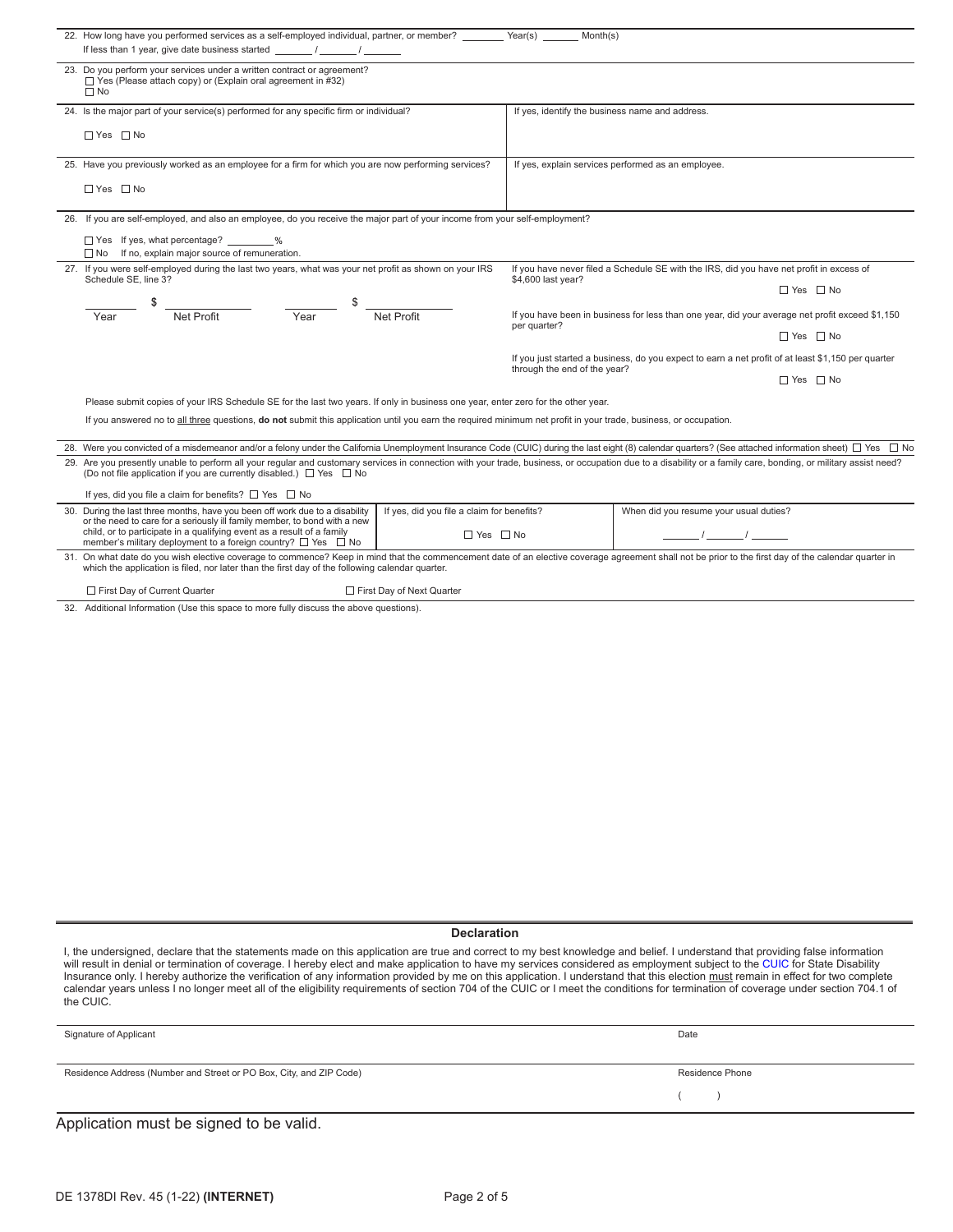|                                                                                                                                    | 22. How long have you performed services as a self-employed individual, partner, or member?<br>Year(s)<br>Month(s)                                                                                                                                                                                             |                                                                    |                                                                                                       |                                                                                                 |  |  |  |  |  |  |  |
|------------------------------------------------------------------------------------------------------------------------------------|----------------------------------------------------------------------------------------------------------------------------------------------------------------------------------------------------------------------------------------------------------------------------------------------------------------|--------------------------------------------------------------------|-------------------------------------------------------------------------------------------------------|-------------------------------------------------------------------------------------------------|--|--|--|--|--|--|--|
|                                                                                                                                    | If less than 1 year, give date business started / / /                                                                                                                                                                                                                                                          |                                                                    |                                                                                                       |                                                                                                 |  |  |  |  |  |  |  |
|                                                                                                                                    | 23. Do you perform your services under a written contract or agreement?<br>$\Box$ Yes (Please attach copy) or (Explain oral agreement in #32)<br>$\Box$ No                                                                                                                                                     |                                                                    |                                                                                                       |                                                                                                 |  |  |  |  |  |  |  |
|                                                                                                                                    | 24. Is the major part of your service(s) performed for any specific firm or individual?                                                                                                                                                                                                                        |                                                                    | If yes, identify the business name and address.                                                       |                                                                                                 |  |  |  |  |  |  |  |
|                                                                                                                                    | $\Box$ Yes $\Box$ No                                                                                                                                                                                                                                                                                           |                                                                    |                                                                                                       |                                                                                                 |  |  |  |  |  |  |  |
|                                                                                                                                    | 25. Have you previously worked as an employee for a firm for which you are now performing services?                                                                                                                                                                                                            |                                                                    | If yes, explain services performed as an employee.                                                    |                                                                                                 |  |  |  |  |  |  |  |
|                                                                                                                                    | $\Box$ Yes $\Box$ No                                                                                                                                                                                                                                                                                           |                                                                    |                                                                                                       |                                                                                                 |  |  |  |  |  |  |  |
|                                                                                                                                    | 26. If you are self-employed, and also an employee, do you receive the major part of your income from your self-employment?                                                                                                                                                                                    |                                                                    |                                                                                                       |                                                                                                 |  |  |  |  |  |  |  |
|                                                                                                                                    | □ Yes If yes, what percentage? _______<br>$\Box$ No If no, explain major source of remuneration.                                                                                                                                                                                                               |                                                                    |                                                                                                       |                                                                                                 |  |  |  |  |  |  |  |
|                                                                                                                                    | 27. If you were self-employed during the last two years, what was your net profit as shown on your IRS<br>If you have never filed a Schedule SE with the IRS, did you have net profit in excess of<br>Schedule SE, line 3?<br>\$4,600 last year?                                                               |                                                                    |                                                                                                       |                                                                                                 |  |  |  |  |  |  |  |
|                                                                                                                                    |                                                                                                                                                                                                                                                                                                                |                                                                    |                                                                                                       | $\Box$ Yes $\Box$ No                                                                            |  |  |  |  |  |  |  |
|                                                                                                                                    | Year<br>Net Profit<br>Year                                                                                                                                                                                                                                                                                     | Net Profit                                                         | per quarter?                                                                                          | If you have been in business for less than one year, did your average net profit exceed \$1,150 |  |  |  |  |  |  |  |
|                                                                                                                                    |                                                                                                                                                                                                                                                                                                                |                                                                    |                                                                                                       | $\Box$ Yes $\Box$ No                                                                            |  |  |  |  |  |  |  |
| If you just started a business, do you expect to earn a net profit of at least \$1,150 per quarter<br>through the end of the year? |                                                                                                                                                                                                                                                                                                                |                                                                    |                                                                                                       |                                                                                                 |  |  |  |  |  |  |  |
|                                                                                                                                    |                                                                                                                                                                                                                                                                                                                |                                                                    |                                                                                                       | □ Yes □ No                                                                                      |  |  |  |  |  |  |  |
|                                                                                                                                    | Please submit copies of your IRS Schedule SE for the last two years. If only in business one year, enter zero for the other year.                                                                                                                                                                              |                                                                    |                                                                                                       |                                                                                                 |  |  |  |  |  |  |  |
|                                                                                                                                    | If you answered no to all three questions, do not submit this application until you earn the required minimum net profit in your trade, business, or occupation.                                                                                                                                               |                                                                    |                                                                                                       |                                                                                                 |  |  |  |  |  |  |  |
|                                                                                                                                    | 28. Were you convicted of a misdemeanor and/or a felony under the California Unemployment Insurance Code (CUIC) during the last eight (8) calendar quarters? (See attached information sheet) □ Yes □ No                                                                                                       |                                                                    |                                                                                                       |                                                                                                 |  |  |  |  |  |  |  |
|                                                                                                                                    | 29. Are you presently unable to perform all your regular and customary services in connection with your trade, business, or occupation due to a disability or a family care, bonding, or military assist need?<br>(Do not file application if you are currently disabled.) □ Yes □ No                          |                                                                    |                                                                                                       |                                                                                                 |  |  |  |  |  |  |  |
|                                                                                                                                    | If yes, did you file a claim for benefits? $\Box$ Yes $\Box$ No                                                                                                                                                                                                                                                |                                                                    |                                                                                                       |                                                                                                 |  |  |  |  |  |  |  |
|                                                                                                                                    | 30. During the last three months, have you been off work due to a disability<br>or the need to care for a seriously ill family member, to bond with a new<br>child, or to participate in a qualifying event as a result of a family<br>member's military deployment to a foreign country? $\Box$ Yes $\Box$ No | If yes, did you file a claim for benefits?<br>$\Box$ Yes $\Box$ No | When did you resume your usual duties?<br>$\mathcal{I} = \mathcal{I}$ and $\mathcal{I} = \mathcal{I}$ |                                                                                                 |  |  |  |  |  |  |  |
|                                                                                                                                    | 31. On what date do you wish elective coverage to commence? Keep in mind that the commencement date of an elective coverage agreement shall not be prior to the first day of the calendar quarter in<br>which the application is filed, nor later than the first day of the following calendar quarter.        |                                                                    |                                                                                                       |                                                                                                 |  |  |  |  |  |  |  |
|                                                                                                                                    | First Day of Current Quarter<br>First Day of Next Quarter                                                                                                                                                                                                                                                      |                                                                    |                                                                                                       |                                                                                                 |  |  |  |  |  |  |  |

32. Additional Information (Use this space to more fully discuss the above questions).

#### **Declaration**

I, the undersigned, declare that the statements made on this application are true and correct to my best knowledge and belief. I understand that providing false information will result in denial or termination of coverage. I hereby elect and make application to have my services considered as employment subject to the [CUIC](http://leginfo.legislature.ca.gov/faces/codes.xhtml) for State Disability Insurance only. I hereby authorize the verification of any information provided by me on this application. I understand that this election must remain in effect for two complete calendar years unless I no longer meet all of the eligibility requirements of section 704 of the CUIC or I meet the conditions for termination of coverage under section 704.1 of the CUIC.

| Signature of Applicant                                              | Date            |
|---------------------------------------------------------------------|-----------------|
|                                                                     |                 |
| Residence Address (Number and Street or PO Box, City, and ZIP Code) | Residence Phone |
|                                                                     |                 |
|                                                                     |                 |

Application must be signed to be valid.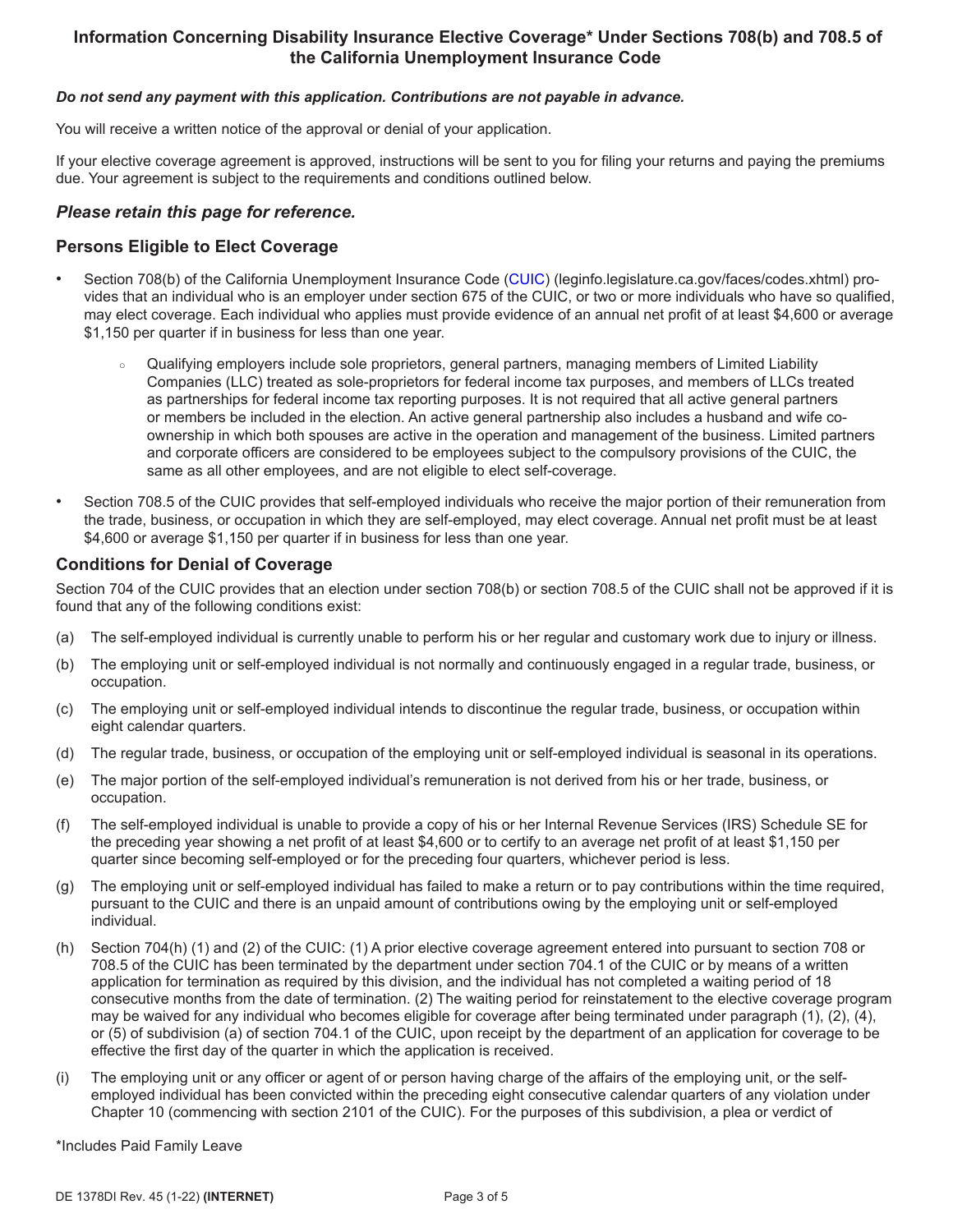# **Information Concerning Disability Insurance Elective Coverage\* Under Sections 708(b) and 708.5 of the California Unemployment Insurance Code**

#### *Do not send any payment with this application. Contributions are not payable in advance.*

You will receive a written notice of the approval or denial of your application.

If your elective coverage agreement is approved, instructions will be sent to you for filing your returns and paying the premiums due. Your agreement is subject to the requirements and conditions outlined below.

### *Please retain this page for reference.*

### **Persons Eligible to Elect Coverage**

- Section 708(b) of the California Unemployment Insurance Code ([CUIC](http://leginfo.legislature.ca.gov/faces/codes.xhtml)) (leginfo.legislature.ca.gov/faces/codes.xhtml) provides that an individual who is an employer under section 675 of the CUIC, or two or more individuals who have so qualified, may elect coverage. Each individual who applies must provide evidence of an annual net profit of at least \$4,600 or average \$1,150 per quarter if in business for less than one year.
	- Qualifying employers include sole proprietors, general partners, managing members of Limited Liability Companies (LLC) treated as sole-proprietors for federal income tax purposes, and members of LLCs treated as partnerships for federal income tax reporting purposes. It is not required that all active general partners or members be included in the election. An active general partnership also includes a husband and wife coownership in which both spouses are active in the operation and management of the business. Limited partners and corporate officers are considered to be employees subject to the compulsory provisions of the CUIC, the same as all other employees, and are not eligible to elect self-coverage.
- Section 708.5 of the CUIC provides that self-employed individuals who receive the major portion of their remuneration from the trade, business, or occupation in which they are self-employed, may elect coverage. Annual net profit must be at least \$4,600 or average \$1,150 per quarter if in business for less than one year.

#### **Conditions for Denial of Coverage**

Section 704 of the CUIC provides that an election under section 708(b) or section 708.5 of the CUIC shall not be approved if it is found that any of the following conditions exist:

- (a) The self-employed individual is currently unable to perform his or her regular and customary work due to injury or illness.
- (b) The employing unit or self-employed individual is not normally and continuously engaged in a regular trade, business, or occupation.
- (c) The employing unit or self-employed individual intends to discontinue the regular trade, business, or occupation within eight calendar quarters.
- (d) The regular trade, business, or occupation of the employing unit or self-employed individual is seasonal in its operations.
- (e) The major portion of the self-employed individual's remuneration is not derived from his or her trade, business, or occupation.
- (f) The self-employed individual is unable to provide a copy of his or her Internal Revenue Services (IRS) Schedule SE for the preceding year showing a net profit of at least \$4,600 or to certify to an average net profit of at least \$1,150 per quarter since becoming self-employed or for the preceding four quarters, whichever period is less.
- (g) The employing unit or self-employed individual has failed to make a return or to pay contributions within the time required, pursuant to the CUIC and there is an unpaid amount of contributions owing by the employing unit or self-employed individual.
- (h) Section 704(h) (1) and (2) of the CUIC: (1) A prior elective coverage agreement entered into pursuant to section 708 or 708.5 of the CUIC has been terminated by the department under section 704.1 of the CUIC or by means of a written application for termination as required by this division, and the individual has not completed a waiting period of 18 consecutive months from the date of termination. (2) The waiting period for reinstatement to the elective coverage program may be waived for any individual who becomes eligible for coverage after being terminated under paragraph (1), (2), (4), or (5) of subdivision (a) of section 704.1 of the CUIC, upon receipt by the department of an application for coverage to be effective the first day of the quarter in which the application is received.
- (i) The employing unit or any officer or agent of or person having charge of the affairs of the employing unit, or the selfemployed individual has been convicted within the preceding eight consecutive calendar quarters of any violation under Chapter 10 (commencing with section 2101 of the CUIC). For the purposes of this subdivision, a plea or verdict of

\*Includes Paid Family Leave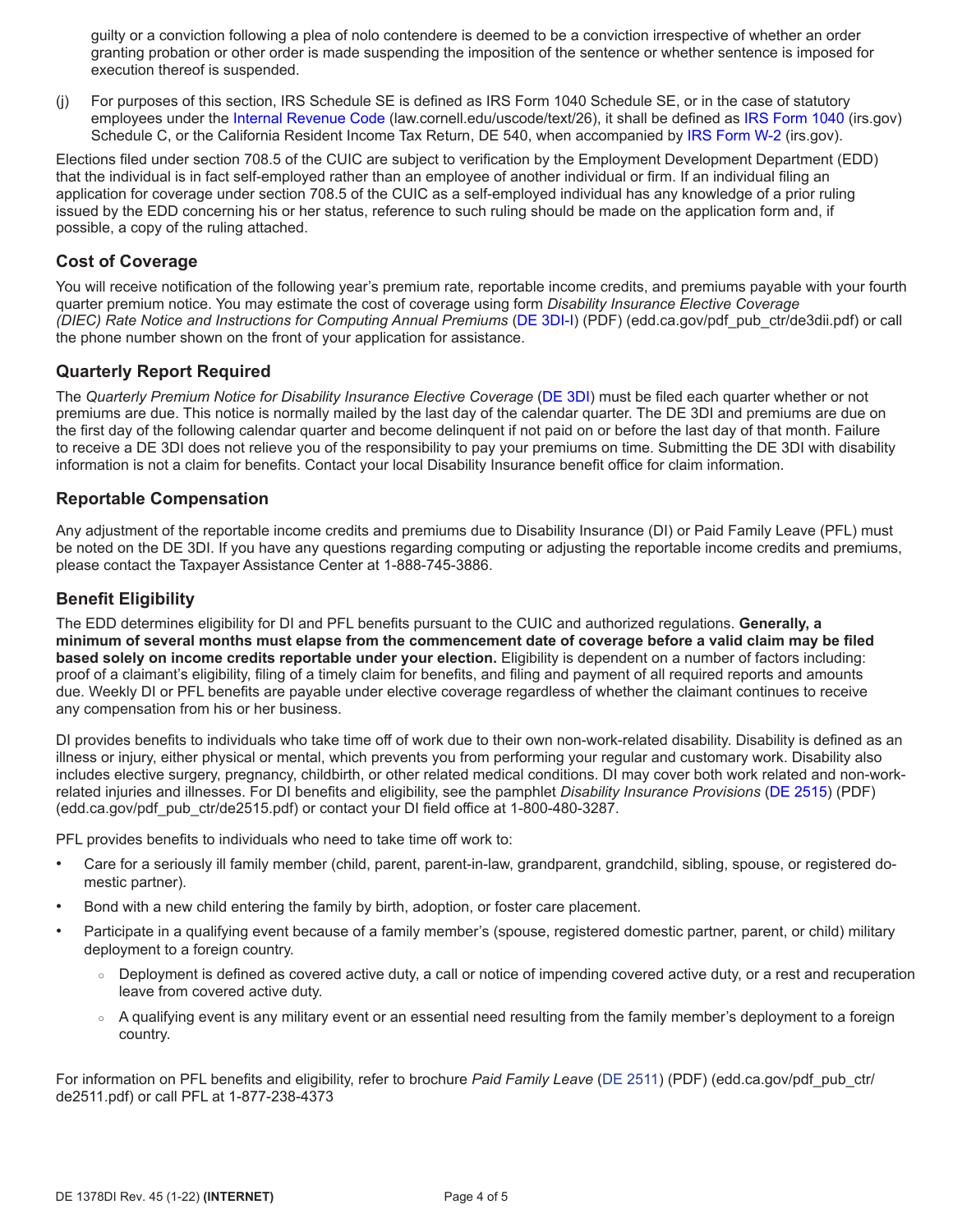guilty or a conviction following a plea of nolo contendere is deemed to be a conviction irrespective of whether an order granting probation or other order is made suspending the imposition of the sentence or whether sentence is imposed for execution thereof is suspended.

(j) For purposes of this section, IRS Schedule SE is defined as IRS Form 1040 Schedule SE, or in the case of statutory employees under the [Internal Revenue Code](https://www.law.cornell.edu/uscode/text/26) (law.cornell.edu/uscode/text/26), it shall be defined as [IRS Form 1040](https://www.irs.gov) (irs.gov) Schedule C, or the California Resident Income Tax Return, DE 540, when accompanied by [IRS Form W-2](https://www.irs.gov) (irs.gov).

Elections filed under section 708.5 of the CUIC are subject to verification by the Employment Development Department (EDD) that the individual is in fact self-employed rather than an employee of another individual or firm. If an individual filing an application for coverage under section 708.5 of the CUIC as a self-employed individual has any knowledge of a prior ruling issued by the EDD concerning his or her status, reference to such ruling should be made on the application form and, if possible, a copy of the ruling attached.

## **Cost of Coverage**

You will receive notification of the following year's premium rate, reportable income credits, and premiums payable with your fourth quarter premium notice. You may estimate the cost of coverage using form *Disability Insurance Elective Coverage (DIEC) Rate Notice and Instructions for Computing Annual Premiums* ([DE 3DI-I\)](https://edd.ca.gov/pdf_pub_ctr/de3dii.pdf) (PDF) (edd.ca.gov/pdf\_pub\_ctr/de3dii.pdf) or call the phone number shown on the front of your application for assistance.

### **Quarterly Report Required**

The *Quarterly Premium Notice for Disability Insurance Elective Coverage* ([DE 3DI](https://edd.ca.gov/pdf_pub_ctr/de3dii.pdf)) must be filed each quarter whether or not premiums are due. This notice is normally mailed by the last day of the calendar quarter. The DE 3DI and premiums are due on the first day of the following calendar quarter and become delinquent if not paid on or before the last day of that month. Failure to receive a DE 3DI does not relieve you of the responsibility to pay your premiums on time. Submitting the DE 3DI with disability information is not a claim for benefits. Contact your local Disability Insurance benefit office for claim information.

#### **Reportable Compensation**

Any adjustment of the reportable income credits and premiums due to Disability Insurance (DI) or Paid Family Leave (PFL) must be noted on the DE 3DI. If you have any questions regarding computing or adjusting the reportable income credits and premiums, please contact the Taxpayer Assistance Center at 1-888-745-3886.

### **Benefit Eligibility**

The EDD determines eligibility for DI and PFL benefits pursuant to the CUIC and authorized regulations. **Generally, a minimum of several months must elapse from the commencement date of coverage before a valid claim may be filed based solely on income credits reportable under your election.** Eligibility is dependent on a number of factors including: proof of a claimant's eligibility, filing of a timely claim for benefits, and filing and payment of all required reports and amounts due. Weekly DI or PFL benefits are payable under elective coverage regardless of whether the claimant continues to receive any compensation from his or her business.

DI provides benefits to individuals who take time off of work due to their own non-work-related disability. Disability is defined as an illness or injury, either physical or mental, which prevents you from performing your regular and customary work. Disability also includes elective surgery, pregnancy, childbirth, or other related medical conditions. DI may cover both work related and non-workrelated injuries and illnesses. For DI benefits and eligibility, see the pamphlet *Disability Insurance Provisions* ([DE 2515\)](https://edd.ca.gov/pdf_pub_ctr/de2515.pdf) (PDF) (edd.ca.gov/pdf\_pub\_ctr/de2515.pdf) or contact your DI field office at 1-800-480-3287.

PFL provides benefits to individuals who need to take time off work to:

- Care for a seriously ill family member (child, parent, parent-in-law, grandparent, grandchild, sibling, spouse, or registered domestic partner).
- Bond with a new child entering the family by birth, adoption, or foster care placement.
- Participate in a qualifying event because of a family member's (spouse, registered domestic partner, parent, or child) military deployment to a foreign country.
	- Deployment is defined as covered active duty, a call or notice of impending covered active duty, or a rest and recuperation leave from covered active duty.
	- A qualifying event is any military event or an essential need resulting from the family member's deployment to a foreign country.

For information on PFL benefits and eligibility, refer to brochure *Paid Family Leave* [\(DE 2511](http://edd.ca.gov/pdf_pub_ctr/de2511.pdf)) (PDF) (edd.ca.gov/pdf\_pub\_ctr/ de2511.pdf) or call PFL at 1-877-238-4373